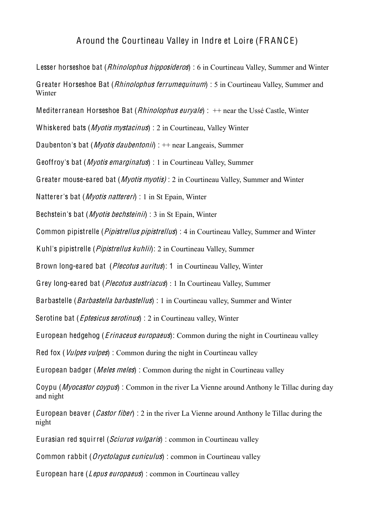## Around the Courtineau Valley in Indre et Loire (FRANC E)

Lesser horseshoe bat (*Rhinolophus hipposideros*) : 6 in Courtineau Valley, Summer and Winter Greater Horseshoe Bat (Rhinolophus ferrumequinum) : 5 in Courtineau Valley, Summer and Winter Mediterranean Horseshoe Bat (*Rhinolophus eurvale*) :  $++$  near the Ussé Castle, Winter Whiskered bats (*Myotis mystacinus*) : 2 in Courtineau, Valley Winter Daubenton's bat (*Myotis daubentonii*) :  $+$  near Langeais, Summer Geoffroy's bat (Myoti<sup>s</sup> <sup>e</sup>marginatu<sup>s</sup>) : 1 in Courtineau Valley, Summer Greater mouse-eared bat (*Myotis myotis*) : 2 in Courtineau Valley, Summer and Winter Natterer's bat (*Myotis nattereri*) : 1 in St Epain, Winter Bechstein's bat (*Myotis bechsteinii*) : 3 in St Epain, Winter Common pipistrelle (*Pipistrellus pipistrellus*) : 4 in Courtineau Valley, Summer and Winter Kuhl's pipistrelle (*Pipistrellus kuhlii*): 2 in Courtineau Valley, Summer Brown long-eared bat (*Plecotus auritus*): 1 in Courtineau Valley, Winter Grey long-eared bat (*Plecotus austriacus*) : 1 In Courtineau Valley, Summer Barbastelle (*Barbastella barbastellus*) : 1 in Courtineau valley, Summer and Winter Serotine bat (*Eptesicus serotinus*) : 2 in Courtineau valley, Winter European hedgehog (*Erinaceus europaeus*): Common during the night in Courtineau valley Red fox (*Vulpes vulpes*) : Common during the night in Courtineau valley European badger (*Meles meles*): Common during the night in Courtineau valley Coypu (Myo<sup>c</sup>astor <sup>c</sup>oypu<sup>s</sup>) : Common in the river La Vienne around Anthony le Tillac during day and night European beaver (*Castor fiber*) : 2 in the river La Vienne around Anthony le Tillac during the night Eurasian red squirrel (Sciurus vulgaris) : common in Courtineau valley Common rabbit (*Oryctolagus cuniculus*) : common in Courtineau valley

European hare (Lepus europaeus) : common in Courtineau valley